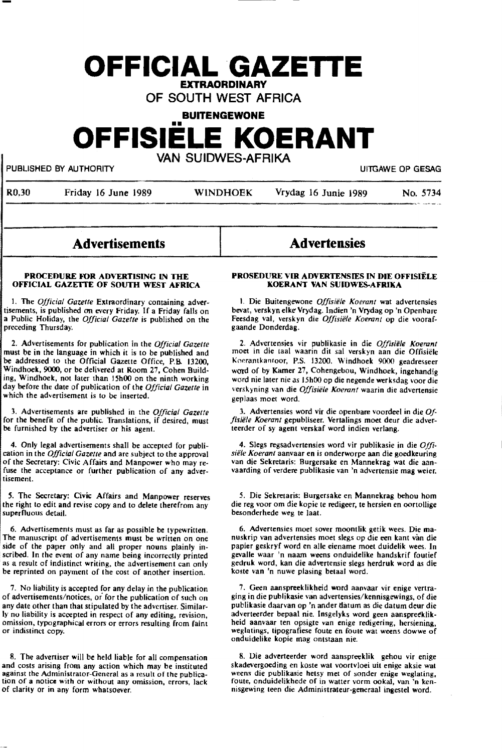# **OFFICIAL GAZETTE EXTRAORDINARY**

OF SOUTH WEST AFRICA

**BUITENGEWONE** 

# **OFFISIELE KOERANT**

VAN SUIDWES-AFRIKA

PUBLISHED BY AUTHORITY **EXAGGE OP GESAGGE OP GESAGGE OP GESAGGE OP GESAGGE OP GESAGGE OP GESAGGE OP GESAGGE OP GESAG** 

| RO.30 | Friday 16 June 1989 | <b>WINDHOEK</b> | Vrydag 16 Junie 1989 | No. 5734 |
|-------|---------------------|-----------------|----------------------|----------|
|       |                     |                 |                      |          |

# Advertisements

#### **PROCEDURE FOR ADVERTISING IN THE OFFICIAL GAZETTE OF SOUTH WEST AFRICA**

1. The *Official Gazette* Extraordinary containing advertisements, is published an every Friday. If a Friday falls on a Public Holiday, the *Official Gazette* is published on the preceding Thursday.

2. Advertisements for publication in the *Official Gazette*  must be in the language in which it is to be published and be addressed to the Official Gazette Office, P.B. 13200, Windhoek, 9000, or be delivered at Room 27, Cohen Building, Windhoek, not later than 15h00 on the ninth working day before the date of publication of the *Official Gazette* in which the advertisement is to be inserted.

3. Advertisements are published in the *Official Gazette*  for the benefit of the public. Translations, if desired, must be furnished by the advertiser or his agent.

4. Only legal advertisements shall be accepted for publication in the *Official Gazette* and are subject to the approval of the Secretary: Civic Affairs and Manpower who may refuse the acceptance or further publication of any advertisement.

*S.* The Secretary: Civic Affairs and Manpower reserves the right to edit and revise copy and to delete therefrom any superfluous detail.

6. Advertisements must as far as possible be typewritten. The manuscript of advertisements must be written on one side of the paper only and all proper nouns plainly inscribed. In the event of any name being incorrectly printed as a result of indistinct writing, the advertisement can only be reprinted on payment of the cost of another insertion.

7. No liability is accepted for any delay in the publication of advertisements/notices, or for the publication of such on any date other than that stipulated by the advertiser. Similarly no liability is accepted in respect of any editing, revision, omission, typographical errors or errors resulting from faint or indistinct copy.

8. The advertiser will be held liable for all compensation and costs arising from any action which may be instituted against the Administrator-General as a result of the publication of a notice with or without any omission, errors, lack of clarity or in any form whatsoever.

# **PROSEDURE VIR ADVERTENSIES IN DIE OFFISIELE KOERANT VAN SUIDWES-AFIUXA**

**Advertensies** 

1. Die Buitengewone *Offisiele Xoerant* wat advertensles bevat, verskyn elke Vrydag. Indien 'n Vrydag op 'n Openbare Feesdag val, verskyn die *Offisiële Koerant* op die voorafgaande Donderdag.

2. Advertensies vir publikasie in die *Offisiele Xoerunt*  moet in die taal waarin dit sal verskyn aan die Offisiele Koerantkantoor, P.S. 13200. Windhoek 9000 geadresseer ward of by Kamer 27, Cohengebou, Windhoek, **ingehandig**  word nie later nie as 15h00 op die negende werksdag voor die verskyning van die *Offisie1e Xoerant* waarin die advertensie geplaas moet word.

3. Advertensies word vir die openbare voordeel in die Of*fisiele Xoerant* gepubliseer. Vertalings moet deur die adverteerder of sy agent verskaf word indien verlang.

4. Slegs regsadvertensies word vir publikasie in die *Offi· siile Xoerant* aanvaar en is onderworpe aan die goedkeuring vaarding of verdere publikasie van 'n advertensie mag weier.

*S.* Die Sekretaris: Burgersake en Mannekrag behou horn die reg voor om die kopie te redigeer, te hersien en oortollige besonderhede weg te laat.

6. Advertensies moet sover moontlik getik wees. Die manuskrip van advertensies moet slegs op die een kant van die papier geskryf word en alle eiename moet duidelik wees. In gevalle waar 'n naam weens onduidelike handskrif foutief gedruk word, kan die adwrtensie slegs herdruk word as die koste van 'n nuwe plasing betaal word.

7. Geen aanspreeklikheid word aanvaar vir enige vertraging in die publikasie van advertensies/kennisgewings, of die publikasie daarvan op 'n ander datum as die datum deur die adverteerder bepaal nie. Insgelyks word geen aanspreeklikheid aanvaar ten opsigte van enige redigering, hersiening, weglatings, tipografiese foute en foute wat weens dowwe of onduidelike kopie mag ontstaan nie.

8. Die adverteerder word aanspreeklik gehou vir enige skadevergoeding en koste wat voortvloei uit enige aksie wat weens die publikasie hetsy met of sonder enige weglating, route, onduidelikhede of in watter vorm ookal, van 'n kennisgewing teen die Administrateur-generaal ingestel word.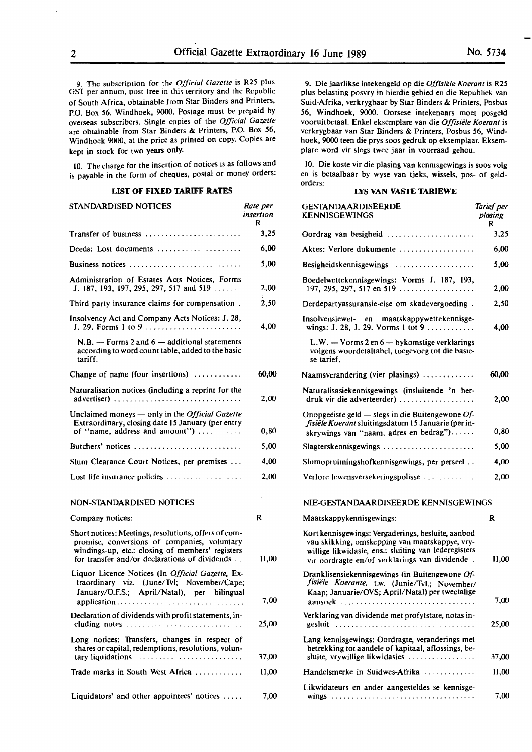9. The subscription for the *Official Gazette* is R2S plus GST per annum, post free in this territory and the Republic or South Africa, obtainable from Star Binders and Printers, **P.O.** Box S6, Windhoek, 9000. Postage must be prepaid by overseas subscribers. Single copies of the *Official Gazette*  are obtainable from Star Binders & Printers, P.O. **Box 56,**  Windhoek 9000, at the price as printed on copy. Copies are kept in stock for two years only.

10. The charge for the insertion of notices is as follows and is payable in the form of cheques, postal or money orders:

# **LIST OF FIXED TARIFF RATES**

| STANDARDISED NOTICES                                                                                                                                                                                      | Rate per<br>insertion<br>R |
|-----------------------------------------------------------------------------------------------------------------------------------------------------------------------------------------------------------|----------------------------|
| <b>Transfer of business</b>                                                                                                                                                                               | 3,25                       |
| Deeds: Lost documents                                                                                                                                                                                     | 6,00                       |
| Business notices                                                                                                                                                                                          | 5.00                       |
| Administration of Estates Acts Notices, Forms<br>J. 187, 193, 197, 295, 297, 517 and 519                                                                                                                  | 2,00                       |
| Third party insurance claims for compensation.                                                                                                                                                            | 2,50                       |
| Insolvency Act and Company Acts Notices: J. 28,<br>J. 29. Forms 1 to 9 $\ldots$ $\ldots$ $\ldots$ $\ldots$                                                                                                | 4,00                       |
| $N.B.$ - Forms 2 and $6$ - additional statements<br>according to word count table, added to the basic<br>tariff.                                                                                          |                            |
| Change of name (four insertions)                                                                                                                                                                          | 60,00                      |
| Naturalisation notices (including a reprint for the<br>advertiser)                                                                                                                                        | 2,00                       |
| Unclaimed moneys - only in the Official Gazette<br>Extraordinary, closing date 15 January (per entry<br>of "name, address and amount")                                                                    | 0,80                       |
| Butchers' notices                                                                                                                                                                                         | 5,00                       |
| Slum Clearance Court Notices, per premises                                                                                                                                                                | 4,00                       |
| Lost life insurance policies                                                                                                                                                                              | 2,00                       |
| NON-STANDARDISED NOTICES                                                                                                                                                                                  |                            |
| Company notices:                                                                                                                                                                                          | R                          |
| Short notices: Meetings, resolutions, offers of com-<br>promise, conversions of companies, voluntary<br>windings-up, etc.: closing of members' registers<br>for transfer and/or declarations of dividends | 11,00                      |
| Liquor Licence Notices (In Official Gazette, Ex-<br>traordinary viz. (June/Tvl; November/Cape;<br>January/O.F.S.; April/Natal), per bilingual                                                             | 7,00                       |
| Declaration of dividends with profit statements, in-<br>cluding notes                                                                                                                                     | 25,00                      |
| Long notices: Transfers, changes in respect of<br>shares or capital, redemptions, resolutions, volun-<br>tary liquidations                                                                                | 37,00                      |
| Trade marks in South West Africa                                                                                                                                                                          | 11,00                      |
| Liquidators' and other appointees' notices                                                                                                                                                                | 7,00                       |

9. Die jaarlikse intekengeld op die *Offisiele Koerant* is **R2S**  plus belasting posvry in hierdie gebied en die Republiek van Suid-Afrika, verkrygbaar by Star Binders & Printers, Posbus 56, Windhoek, 9000. Oorsese intekenaars moet posgeld vooruitbetaal. Enke! eksemplare van die *Offisiele Koerant* is verkrygbaar van Star Binders & Printers, Posbus S6, Windhoek, 9000 teen die prys soos gedruk op eksemplaar. Eksemplare word vir slegs twee jaar in voorraad gehou.

IO. Die koste vir die plasing van kennisgewings is soos volg en is betaalbaar by wyse van tjeks, wissels, pos- of geldorders:

# **LYS VAN VASTE TARIEWE**

| GESTANDAARDISEERDE<br><b>KENNISGEWINGS</b>                                                                                                                                                                     | Tarief per<br>plasing<br>R |
|----------------------------------------------------------------------------------------------------------------------------------------------------------------------------------------------------------------|----------------------------|
| Oordrag van besigheid                                                                                                                                                                                          | 3,25                       |
| Aktes: Verlore dokumente                                                                                                                                                                                       | 6,00                       |
| Besigheidskennisgewings                                                                                                                                                                                        | 5,00                       |
| Boedelwettekennisgewings: Vorms J. 187, 193,<br>197, 295, 297, 517 en 519                                                                                                                                      | 2,00                       |
| Derdepartyassuransie-eise om skadevergoeding.                                                                                                                                                                  | 2,50                       |
| maatskappywettekennisge-<br>Insolvensiewet- en<br>wings: J. 28, J. 29. Vorms 1 tot 9                                                                                                                           | 4,00                       |
| $L.W. - V \text{orms } 2 \text{ en } 6 - \text{bykomstige verklarings}$<br>volgens woordetaltabel, toegevoeg tot die basie-<br>se tarief.                                                                      |                            |
| Naamsverandering (vier plasings)                                                                                                                                                                               | 60,00                      |
| Naturalisasiekennisgewings (insluitende 'n her-<br>druk vir die adverteerder)                                                                                                                                  | 2,00                       |
| Onopgeëiste geld — slegs in die Buitengewone $Of$ -<br>fisiële Koerant sluitingsdatum 15 Januarie (per in-<br>skrywings van "naam, adres en bedrag")                                                           | 0,80                       |
| Slagterskennisgewings                                                                                                                                                                                          | 5,00                       |
| Slumopruimingshofkennisgewings, per perseel                                                                                                                                                                    | 4,00                       |
| Verlore lewensversekeringspolisse                                                                                                                                                                              | 2,00                       |
| NIE-GESTANDAARDISEERDE KENNISGEWINGS                                                                                                                                                                           |                            |
| Maatskappykennisgewings:                                                                                                                                                                                       | R                          |
| Kort kennisgewings: Vergaderings, besluite, aanbod<br>van skikking, omskepping van maatskappye, vry-<br>willige likwidasie, ens.: sluiting van lederegisters<br>vir oordragte en/of verklarings van dividende. | 11,00                      |
| Dranklisensiekennisgewings (in Buitengewone Of-<br>fisiële Koerante, t.w. (Junie/Tvl.; November/<br>Kaap; Januarie/OVS; April/Natal) per tweetalige                                                            | 7,00                       |
| aansoek<br>Verklaring van dividende met profytstate, notas in-                                                                                                                                                 | 25,00                      |
| Lang kennisgewings: Oordragte, veranderings met<br>betrekking tot aandele of kapitaal, aflossings, be-<br>sluite, vrywillige likwidasies                                                                       | 37,00                      |
| Handelsmerke in Suidwes-Afrika                                                                                                                                                                                 | 11,00                      |
| Likwidateurs en ander aangesteldes se kennisge-                                                                                                                                                                |                            |
|                                                                                                                                                                                                                | 7,00                       |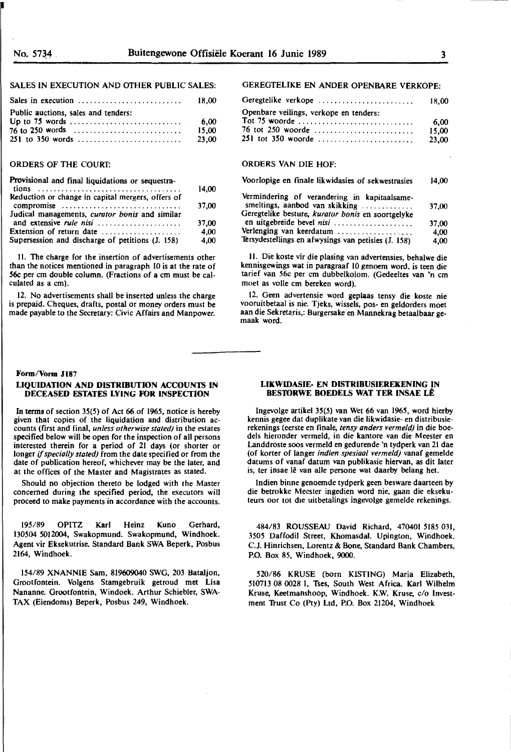# SALES IN EXECUTION AND OTHER PUBLIC SALES:

|                                     | 18.00 |
|-------------------------------------|-------|
| Public auctions, sales and tenders: |       |
|                                     |       |
|                                     | 15.00 |
|                                     | 23.00 |

# ORDERS OF THE COURT:

| Provisional and final liquidations or sequestra-                          | 14.00 |
|---------------------------------------------------------------------------|-------|
| Reduction or change in capital mergers, offers of<br>compromise           | 37.00 |
| Judical managements, curator bonis and similar<br>and extensive rule nisi | 37,00 |
| Extension of return date                                                  | 4,00  |
| Supersession and discharge of petitions (J. 158)                          | 4,00  |

II. The charge for the insertion of advertisements other than the notices mentioned in paragraph IO is at the rate of *56c* per cm double column. (Fractions of a cm must be calculated as a cm).

12. No advertisements shall be inserted unless the charge is prepaid. Cheques, drafts, postal or money orders must be made payable to the Secretary: Civic Affairs and Manpower.

# Form/Vorm J187

# **LIQUIDATION AND DISTRIBUTION ACCOUNIS IN DECEASED ESTATES LYING FOR INSPECTION**

In **terms** of **section** 35(5) of Act **66** of 1965, notice is hereby given that copies of the liquidation and distribution accounts {first and final, *unless otherwise staled)* in the estates specified below will be open for the inspection of all persons interested therein for a period of 21 days {or shorter or longer if *specially stated)* from the date specified or from the date of publication hereof, whichever may be the later, and at the offices of the Master and Magistrates as stated.

Should no objection thereto be lodged with the Master concerned during the specified period, the executors will proceed to make payments in accordance with the accounts.

195/89 OPITZ Karl Heinz Kuna Gerhard, 130504 SOI 2004, Swakopmund. Swakopmund, Windhoek. Agent vir Eksekutrise. Standard Bank SWA Beperk, Posbus **2164,** Windhoek.

154/89 XNANNIE **Sam,** 819609040 SWG, 203 Bataljon, Grootfontein. Volgens Stamgebruik getroud met Lisa Nananne. Grootfontein, Windoek. Arthur Schiebler, SWA-TAX (Eiendoms) Beperk, Posbus 249, Windhoek.

# GEREGTELIKE EN **ANDER** OPENBARE **VERKOPE:**

| Geregtelike verkope                    | 18.00 |
|----------------------------------------|-------|
| Openbare veilings, verkope en tenders: |       |
| Tot 75 woorde                          | 6.00  |
| 76 tot 250 woorde                      | 15.00 |
| 251 tot 350 woorde                     | 23.00 |

# ORDERS VAN DIE HOF:

| Voorlopige en finale likwidasies of sekwestrasies                              |       |
|--------------------------------------------------------------------------------|-------|
| Vermindering of verandering in kapitaalsame-<br>smeltings, aanbod van skikking | 37,00 |
| Geregtelike besture, kurator bonis en soortgelyke<br>en uitgebreide bevel nisi | 37.00 |
| Verlenging van keerdatum                                                       | 4.00  |
| Tersydestellings en afwysings van petisies (J. 158)                            | 4,00  |

II. Die koste vir die plasing van advertensies, behalwe die kennisgewings wat in paragraaf IO genoem word. is teen die tarief van 56c per cm dubbelkolom. (Gedeeltes van 'n cm moet as voile cm bereken word).

12. Geen advertensie word geplaas tensy die koste nie vooruitbetaal is nie. Tjeks, wissels, pos- en geldorders moet aan die Sekretaris,: Burgersake en Mannekrag betaalbaar gemaak word.

#### **LIKWIDASIE- EN DISTRIBUSIEREKENING IN BESIDRWE BOEDELS WAT TER INSAE LE**

Ingevolge artikel 35(5) van Wet 66 van 1965, word hierby kennis gegee dat duplikate van die Jikwidasie- en distribusierekenings (eerste en finale, *tensy anders vermeld)* in die boedels hieronder vermeld, in die kantore van die Meester en Landdroste soos vermeld **en** gedurende 'n tydperk van 21 dae (of korter of !anger *indien spesiaa/ vermeld)* vanaf gemelde datums of **vanaf** datum van publikasie **hiervan,** as dit later is, ter insae lê van alle persone wat daarby belang het.

lndien binne genoemde tydperk geen besware daarteen by die betrokke Meester ingedien word nie, gaan die ekseku• teurs oor tot die uitbetalings ingevolge gemelde rekenings.

484/83 ROUSSEAU David Richard, 470401 5185 031, 3505 Daffodil Street, Khomasdal. Upington, Windhoek. C.J. Hinrichsen, Lorentz & Bone, Standard Bank Chambers, P.O. Box 85, Windhoek, **9000.** .

520/86 KRUSE (born KISTING) Maria Elizabeth, 510713 08 0028 I, Tses, South West Africa. Karl Wilhelm Kruse, Keetmanshoop, Windhoek. K.W. Kruse, c/o Investment Trust Co (Pty) Ltd, P.O. Box 21204, Windhoek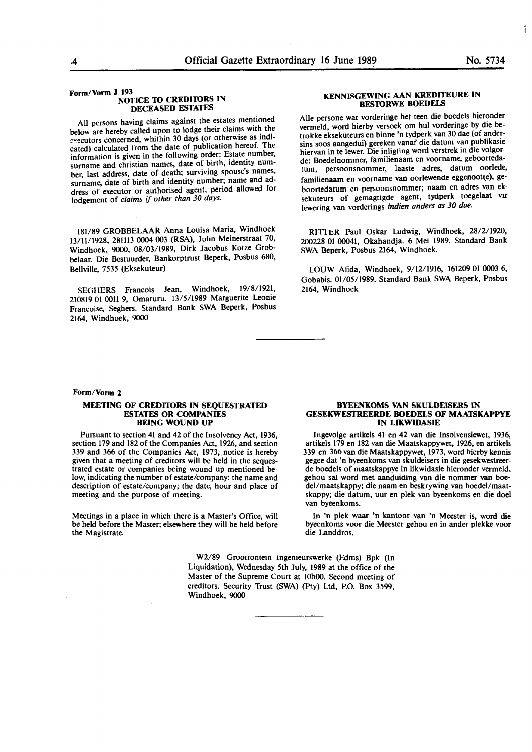Ť

#### **Form/Vorm J 193 NOflCE 10 CREDIIDRS IN DECEASED ESTATES**

All persons having claims against the estates mentioned below are hereby called upon to lodge their claims with the executors concerned, whithin 30 days (or otherwise as indicated) calculated from the date of publication hereof. The<br>information is given in the following order: Estate number, surname and christian names, date of birth, identity number, last address, date of death; surviving spouse's names, surname, date of birth and identity number; name and address of executor or authorised agent, period allowed for lodgement of *claims* if *other than 30 days.* 

**181/89 GROBBELAAR Anna Louisa Maria, Windhoek**  13/11/1928, 28l113 **0004** 003 **(RSA),** John Meinerstraat 70, Windhoek, 9000, 08/03/1989, Dirk Jacobus Kotze Grobbelaar. Die Bestuurder, Bankorptrust **Beperk,** Posbus 680, **Bellville, 7535 (Eksekuteur)** 

SEGHERS Francois Jean, Windhoek, 19/8/1921, 210819 01 **0011 9,** Omaruru. **13/5/1989 Marguerite** Leonie **Francoise, Seghers. Standard Bank SWA Beperk, Posbus**  2164, Windhoek, 9000

#### **Form/Vorm 2**

#### **MEETING OF CREDilORS IN SEQUESTRATED ESTATES OR CQMPANIES BEING WOUND UP**

Pursuant to section 41 and 42 of the Insolvency Act, 1936, section 179 and 182 of the Companies Act, 1926, and section 339 and 366 of the Companies Act, 1973, notice is hereby given that a meeting of creditors will be held in the sequestrated estate or companies being wound up mentioned below, indicating the number of estate/company: the name and description of estate/company; the date, hour and place of meeting and the purpose of meeting.

Meetings in a place in which there is a Master's Office, will be held before the Master; elsewhere they will be held before the Magistrate.

#### **KENNISGEWING AAN KREDITEURE IN BESIDRWE BOEDELS**

Alle persone wat vorderinge het teen die boedels hieronder vermeld, word hierby versoek om hul vorderinge by die betrokke eksekuteurs en binne 'n tydperk van 30 dae (of andersins soos aangedui) gereken vanaf die datum van publikasie hiervan in te lewer. Die inligting word verstrek m die volgorde: Boedelnommer, familienaam en voorname, geboortedatum, persoonsnommer, laaste adres, datum oorlede, familienaam en voorname van oorlewende eggenootte), geboortedatum en persoonsnommer; naam en adres van eksekuteurs of gemagtigde agent, tydperk toegelaat vir lewering van vorderings *indien anders as 30 dae.* 

RITTER Paul Oskar Ludwig, Windhoek, 28/2/1920, 200228 01 00041, Okahandja. 6 Mei 1989. Standard Bank SWA Beperk, Posbus 2164, Windhoek.

WUW Alida, Windhoek, 9/12/1916, 161209 01 0003 6, Gobabis. 01/05/1989. Standard Bank SWA Beperk, Posbus 2164, Windhoek

#### **BYEENKOMS VAN SKULDEISERS IN GESEKWESTREERDE BOEDELS OF MAATSKAPPYE IN LIKWIDASIE**

Ingevolge **artikels** 41 en 42 van die Insolvensiewet, 1936, **artikels** 179 **en 182 van die Maatskappywet, 1926, en artikels 339 en 366 van die Maatskappywet, 1973, word hierby kennis gegee** dat 'n byeenkoms van skuldeisers in die **gesekwestreer**de boedels of maatskappye in **likwidasie** hieronder vermeld. gehou Sal word met aanduiding van **die nommer van boedel/maatskappy; die naam en beskrywing van boedel/maat**skappy; die datum, uur en **plek** van **byeenkoms en** die doel van byeenkoms.

In 'n **plek waar** 'n **kantoor** van 'n **Meester is, word die byeenkoms voor die Meester gehou en in ander plekke voor**  die Landdros.

W2/89 Groouontem lngemeurswerke (Edms) Bpk (In Liquidation), Wednesday 5th July, 1989 at the office of the Master of the Supreme Court at 10h00. Second meeting of creditors. Security Trust (SWA) (Pty) Ltd, P.O. Box 3599, Windhoek, 9000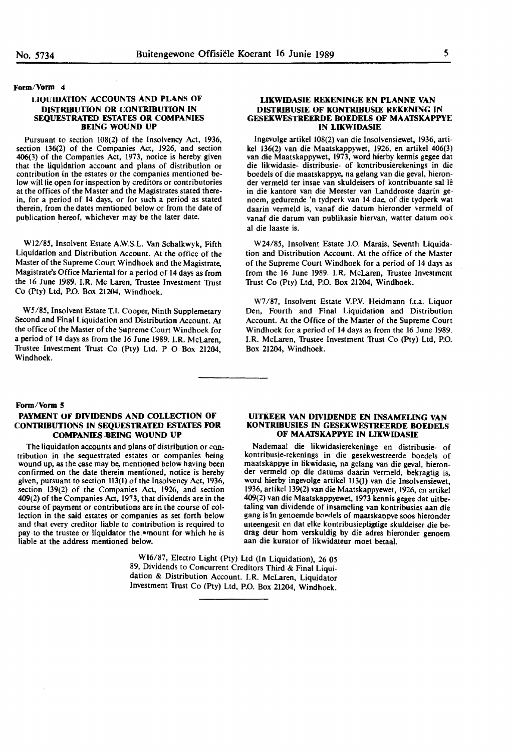#### **Form/Vorm 4**

# **LICJlJIDATION ACCOUNTS AND PLANS OF DISTRIBUTION OR CONTRIBUTION IN SEQUESTRATED ESTATES OK COMPANIES BEING WOUND UP**

Pursuant to section 108(2) of the Insolvency Act, 1936, section 136(2) of the Companies Act, 1926, and section 406(3) of the Companies Act, 1973, notice is hereby given contribution in the estates or the companies mentioned below will lie open for inspection by creditors or contributories at the offices of the Master and the Magistrates stated therein, for a period of **14** days, or for such a period as stated therein, from the dates mentioned below or from the date of publication hereof, whichever may be the later date.

W12/85, Insolvent Estate A.W.S.L. Van Schalkwyk, Fifth Liquidation and Distribution Account. At the office of the Master of the Supreme Court Windhoek and the Magistrate, Magistrate's Office Mariental for a period of 14 days as from the 16 June 1989. I.R. Mc Laren, Trustee Investment Trust Co (Pty) Ltd, P.O. Box 21204, Windhoek.

W5/85, Insolvent Estate T.I. Cooper, Ninth Supplemetary Second and Final Liquidation and Distribution Account. At the office of the Master of the Supreme Court Windhoek for a period of 14 days as from the 16 June 1989. LR. McLaren, Trustee Investment Trust Co (Pty) Ltd. P O Box 21204, Windhoek.

#### **LIKWIDASIE REKENINGE EN PLANNE VAN DISTRIBUSIE OF KONTRIBUSIE REKENING IN GESEKWESTREERDE BOEDELS OF MAATSXAPPYE IN LIKWIDASIE**

lngevolge artikel 108(2) van die Insolvensiewet, 1936, artikel 136(2) van die Maatskappywet, 1926, en artikel 406(3) van die Maatskappywet, 1973, word hierby kennis gegee dat die likwidasie- distribusie- of kontribusierekenings in die boedels of die maatskappye, na gelang van die geval, hieronder vermeld ter insae van skuldeisers of kontribuante sal lê in die kantore van die Meester van Landdroste daarin genoem, gedurende 'n tydperk van 14 dae, of die tydperk wat daarin vermeld is, vanaf die datum hieronder vermeld of vanaf die datum van publikasie hiervan, watter datum ook al die laaste is.

W24/85, Insolvent Estate J.O. Marais, Seventh Liquidation and Distribution Account. At the office of the Master of the Supreme Court Windhoek for a period of 14 days as from the 16 June 1989. LR. McLaren, Trustee Investment ltust Co (Pty) Ltd, P.O. Box 21204, Windhoek.

W7 /87, Insolvent Estate V.PY. Heidmann f.t.a. Liquor Den, Fourth and Final Liquidation and Distribution Account. At the Office of the Master of the Supreme Court Windhoek for a period of 14 days as from the 16 June 1989. I.R. McLaren, Trustee Investment Trust Co (Pty) Ltd, P.O. Box 21204, Windhoek.

#### **Form/Vorm 5**

# **PAYMENT OF DIVIDENDS AND COLLECTION OF CONTRIBUTIONS IN SEQUESTRATED ESTATES FOK COMPANIES .8EING WOUND UP**

The liquidation accounts and plans of distribution or contribution in the sequestrated estates or companies being wound up, as the case may be, mentioned below having been confirmed on the date therein mentioned, notice is hereby given, pursuant to section 113(1) of the Insolvency Act, 1936, section 139(2) of the Companies Act, 1926, and section 409(2) of the Companies Act, 1973, that dividends are in the course of payment or contributions are in the course of collection in the said estates or companies as set forth below and that every creditor liable to contribution is required to pay to the trustee or liquidator the amount for which he is liable at the address mentioned below.

**UITKEEK VAN DIVIDENDE EN INSAMELING VAN KONTRIBUSIES IN GESEKWESTREERDE BOEDELS OF MAATSKAPPYE IN LIKWIDASIE** 

Nademaal die likwidasierekeninge en distribusie- of kontribusie-rekenings in die gesekwestreerde boedels of maatskappye in likwidasie, na gelang van die geval, hieronder vermeld op die datums daarin vermeld, bekragtig is, word hierby ingevolge artikel 113(1) van die Insolvensiewet, 1936, artikel 139(2) van die Maatskappyewet, 1926, en artikel 409(2) van die Maatskappyewet, 1973 kennis gegee dat uitbetaling van dividende of insameling van kontribusies aan die gang is in genoemde boedels of maatskappye soos hieronder unteengesit en dat elke kontribusiepligtige skuldeiser die bedrag deur horn verskuldig by die adres hieronder genoem aan die kurator of likwidateur moet betaat.

W16/87, Electro Light (Pty) Ltd (In Liquidation), 26 *05*  89, Dividends to Concurrent Creditors Third & Final Liquidation & Distribution Account. I.R. McLaren, Liquidator Investment Trust Co (Pty) Ltd, P.O. Box 21204, Windhoek.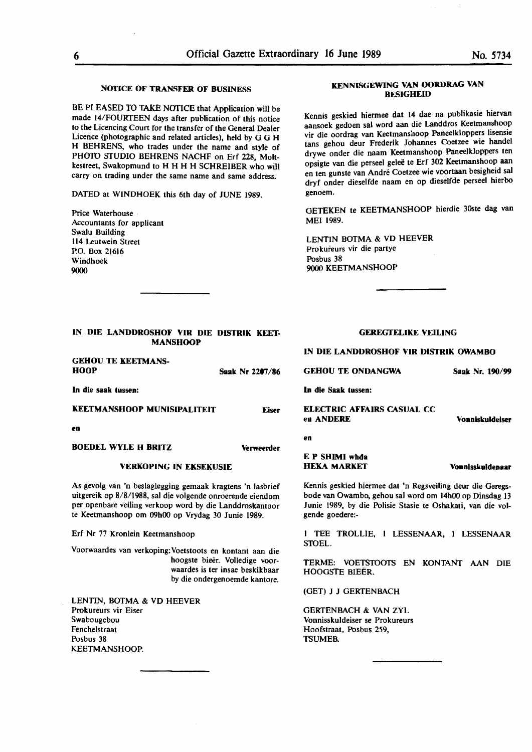# **NOTICE OF TRANSFER OF BUSINESS**

BE PLEASED TO TAKE NOTICE that Application will be made 14/FOURTEEN days after publication of this notice to the Licencing Court for the transfer of the General Dealer Licence (photographic and related articles), held by G G H H BEHRENS, who trades under the name and style of PHOTO STUDIO BEHRENS NACHF on Erf 228, Moltkestreet, Swakopmund to H H H H SCHREIBER who will carry on trading under the same name and same address.

DATED at WINDHOEK this 6th day of JUNE 1989.

Price Waterhouse Accountants for applicant Swalu Building 114 Leutwein Street P.O. Box 21616 Windhoek 9000

# **KENNISGEWING VAN OORDRAG VAN BESIGHEID**

Kennis geskied hiermee dat 14 dae na publikasie hiervan aansoek gedoen sal word aan die Landdros Keetmanshoop vir die oordrag van Keetmanshoop Paneelkloppers lisensie tans gehou deur Frederik Johannes Coetzee wie handel drywe onder die naam Keetmanshoop Paneelkloppers ten opsigte van die perseel gelee te Erf 302 Keetmanshoop aan en ten gunste van Andre Coetzee wie voortaan besigheid sal dryf onder dieselfde naam en op dieselfde perseel hierbo genoem.

GETEKEN te KEETMANSHOOP hierdie 30ste dag van MEI 1989.

LENTIN **BOTMA** & VD HEEVER Prokureurs vir die partye Posbus 38 9000 KEETMANSHOOP

# **IN DIE LANDDROSHOF VIR DIE DISTRIK KEET-MANSHOOP**

**GEHOU** TE **KEETMANS-HOOP** 

**In die saak tussen:** 

**KEETMANSHOOP MUNISIPALITEIT** 

**en** 

**ROEDEL WYLE H BRITZ Verweerder** 

# **VERKOPING IN EKSEKUSIE**

As gevolg van 'n beslaglegging gemaak kragtens 'n Iasbrief uitgereik op 8/8/1988, sal die volgende onroerende eiendom per openbare veiling verkoop word by die Landdroskantoor te Keetmanshoop om **09h00** op Vrydag 30 Junie 1989.

Erf Nr 77 Kronlein Keetmanshoop

Voorwaardes van verkoping:Voetstoots en kontant aan die hoogste bieër. Volledige voorwaardes is ter insae beskikbaar by die ondergenoemde kantore.

LENTIN, BOTMA & VD HEEVER Prokureurs vir Eiser Swabougebou Fenchelstraat Posbus 38 KEETMANSHOOP.

# GEREGfELIKE VEILING

#### IN DIE LANDDROSHOF VIR DISTRIK OWAMBO

**GEHOU TE ONDANGWA** 

**In die Saak tussen:** 

**ELECTRIC AFFAIRS CASUAL CC ea ANDERE** 

**en** 

**Saak Nr** 2287 /86

**Eiser** 

E **P SHIMI whda HEKA MARKET** 

**Vonnlsskuldeuar** 

**Vonniskuldelser** 

Kennis geskied hiermee dat 'n Regsveiling deur die Geregsbode van Owambo, gehou sal word om 14h00 op Dinsdag 13 Junie 1989, by die Polisie Stasie le Oshakati, van die volgende goedere:-

I TEE TROLLIE, 1 LESSENAAR, 1 LESSENAAR STOEL.

TERME: VOETSTOOfS EN KONTANT AAN DIE HOOGSTE BIEER.

(GET) J J GERTENBACH

GERTENBACH & VAN ZYL Vonnisskuldeiser se Prokureurs Hoofstraat, Posbus 259, TSUMEB.

**Saak Nr. 190/99**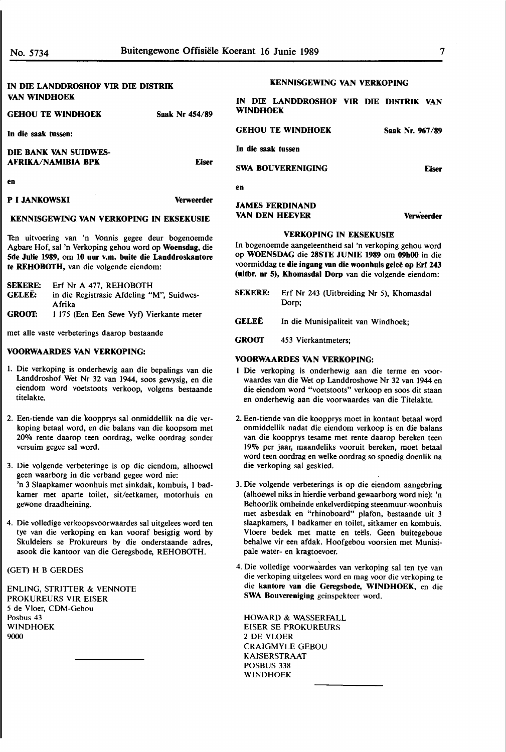# IN DIE LANDDROSHOF VIR DIE DISTRIK VAN WINDHOEK

| <b>GEHOU TE WINDHOEK</b> | Saak Nr 454/89 | <b>WINDHOEK</b>     |
|--------------------------|----------------|---------------------|
| In die saak tussen:      |                | <b>GEHOU TE WIN</b> |
| DIE BANK VAN SUIDWES-    |                | In die saak tussen  |
| AFRIKA/NAMIBIA BPK       | <b>Eiser</b>   | <b>SWA BOUVEREN</b> |
| en                       |                | en                  |
| <b>P I JANKOWSKI</b>     | Verweerder     |                     |

# **KENNISGEWING VAN VERKOPING IN EKSEKUSIE**

Ten uitvoering van 'n Vonnis gegee deur bogenoemde Agbare Hof, sat 'n Verkoping gehou word op **Woensdag,** die **5de Julie 1989,** om **10 uur v.m. buite die Landdroskantore te REHOBOTH,** van die volgende eiendom:

| <b>SEKERE:</b> | Erf Nr A 477, REHOBOTH                    |
|----------------|-------------------------------------------|
| GELEË:         | in die Registrasie Afdeling "M". Suidwes- |
|                | Afrika                                    |
| GROOT:         | 1 175 (Een Een Sewe Vyf) Vierkante meter  |

met alle vaste verbeterings daarop bestaande

# **VOORWAARDES VAN VERKOPING:**

- I. Die verkoping is onderhewig aan die bepalings van die Landdroshof Wet Nr 32 van 1944, soos gewysig, en die eiendom word voetstoots verkoop, volgens bestaande titelakte.
- 2. Een-tiende van die koopprys sat onmiddellik na die verkoping betaal word, en die balans van die koopsom met 20% rente daarop teen oordrag, welke oordrag sonder versuim gegee sat word.
- 3. Die volgende verbeteringe is op die eiendom, alhoewel geen waarborg in die verband gegee word nie: 'n 3 Slaapkamer woonhuis met sinkdak, kombuis, I badkamer met aparte toilet, sit/eetkamer, motorhuis en gewone draadheining.
- 4. Die volledige verkoopsvoorwaardes sat uitgelees word ten tye van die verkoping en kan vooraf besigtig word by Skuldeiers se Prokureurs by die onderstaande adres, asook die kantoor van die Geregsbode, REHOBOTH.

# (GET) H B GERDES

ENLING, STRITTER & VENNOTE PROKUREURS VIR EISER 5 de Vloer, CDM-Gebou Posbus 43 WINDHOEK 9000

## **KENNISGEWING VAN VERKOPING**

| IN DIE LANDDROSHOF VIR DIE DISTRIK VAN<br><b>WINDHOEK</b> |  |                 |  |
|-----------------------------------------------------------|--|-----------------|--|
| <b>GEHOU TE WINDHOEK</b>                                  |  | Saak Nr. 967/89 |  |
| In die saak tussen                                        |  |                 |  |

**SWA BOUVERENIGING Eiser** 

# **JAMES FERDINAND VAN DEN HEEVER Verweerder**

# **VERKOPING IN EKSEKUSIE**

In bogenoemde aangeleentheid sat 'n verkoping gehou word op **WOENSDAG** die **28STE JUNIE 1989** om **09h00** in die voormiddag te **die ingang van die woonhuis gelee op Erf 243 (uitbr. nr 5), Khomasdal Dorp** van die volgende eiendom:

- **SEKERE:**  Erf Nr 243 (Uitbreiding Nr 5), Khomasdal Dorp;
- **GELEE**  In die Munisipaliteit van Windhoek;
- **GROOf**  453 Vierkantmeters;

#### **VOORWAARDES VAN VERKOPING:**

- 1 Die verkoping is onderhewig aan die terme en voorwaardes van die Wet op Landdroshowe Nr 32 van 1944 en die eiendom word "voetstoots" verkoop en soos dit staan en onderhewig aan die voorwaardes van die Titelakte.
- 2. Een-tiende van die koopprys moet in kontant betaal word onmiddellik nadat die eiendom verkoop is en die balans van die koopprys tesame met rente daarop bereken teen 19% per jaar, maandeliks vooruit bereken, moet betaal word teen oordrag en **welke** oordrag so spoedig doenlik na die verkoping sat geskied.
- 3. Die volgende verbeterings is op die eiendom aangebring (alhoewel niks in hierdie verband gewaarborg word nie): 'n Behoorlik omheinde enkelverdieping steenmuur-woonhuis met asbesdak en "rhinoboard" plafon, bestaande uit 3 slaapkamers, I badkamer en toilet, sitkamer en kombuis. Vloere bedek met matte en teels. Geen buitegeboue behalwe vir een afdak. Hoofgebou voorsien met Munisipale water- en kragtoevoer.
- 4. Die volledige voorwaardes van verkoping sal ten tye van die verkoping uitgelees word en mag voor die verkoping te die **kantore van die Geregsbode, WINDHOEK,** en die **SWA Bouvereniging** geïnspekteer word.

HOWARD & WASSERFALL EISER SE PROKUREURS 2 DE VLOER CRAIGMYLE GEBOU **KAISERSTRAAT** POSBUS 338 WINDHOEK